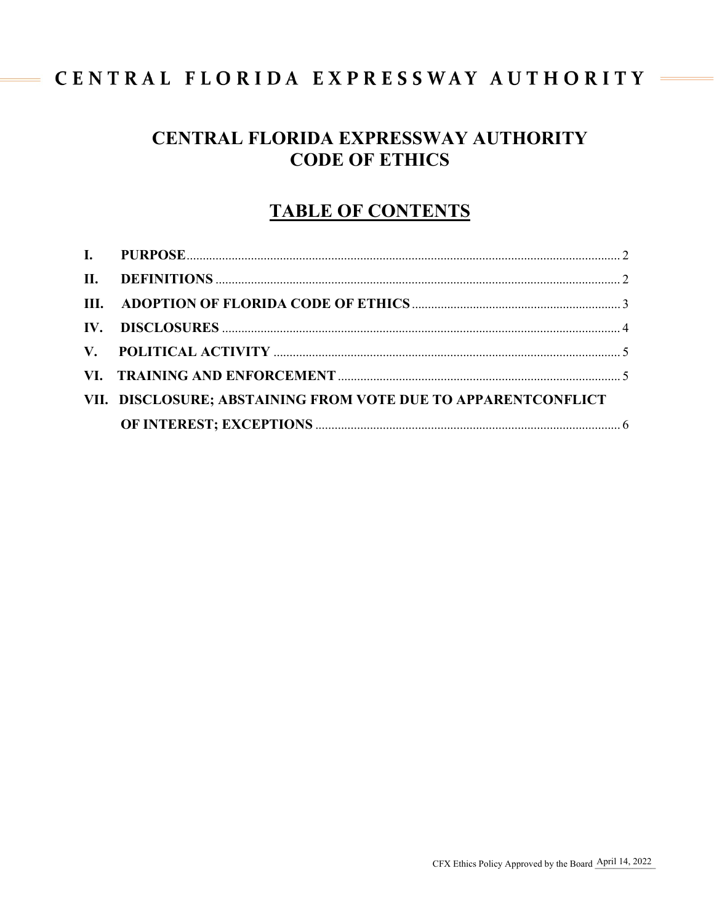# CENTRAL FLORIDA EXPRESSWAY AUTHORITY

 $\frac{1}{2}$ 

# CENTRAL FLORIDA EXPRESSWAY AUTHORITY **CODE OF ETHICS**

# **TABLE OF CONTENTS**

| VII. DISCLOSURE; ABSTAINING FROM VOTE DUE TO APPARENTCONFLICT |  |
|---------------------------------------------------------------|--|
|                                                               |  |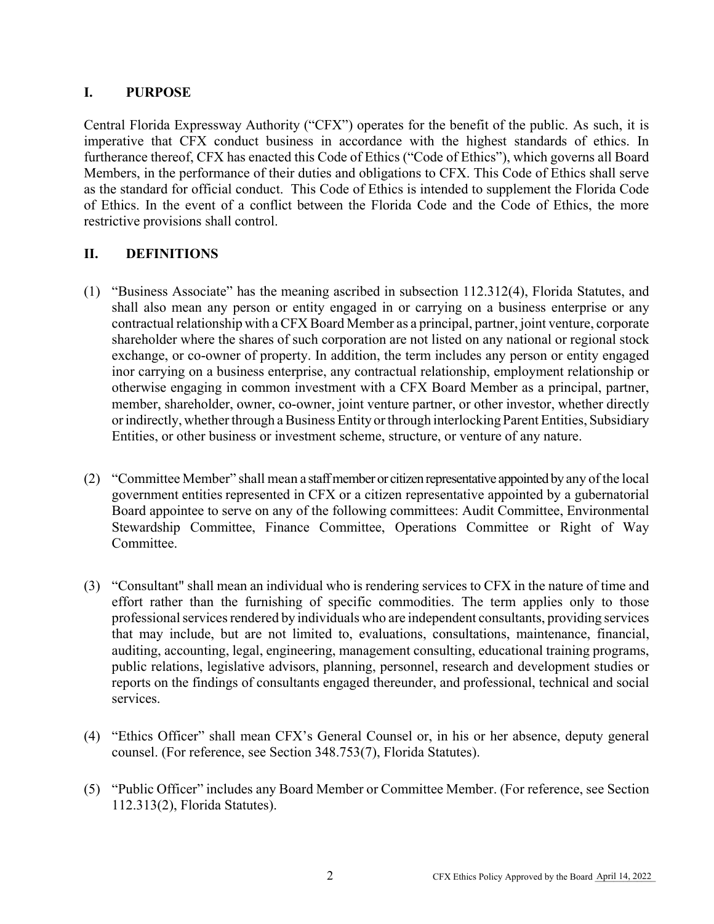## <span id="page-1-0"></span>**I. PURPOSE**

Central Florida Expressway Authority ("CFX") operates for the benefit of the public. As such, it is imperative that CFX conduct business in accordance with the highest standards of ethics. In furtherance thereof, CFX has enacted this Code of Ethics ("Code of Ethics"), which governs all Board Members, in the performance of their duties and obligations to CFX. This Code of Ethics shall serve as the standard for official conduct. This Code of Ethics is intended to supplement the Florida Code of Ethics. In the event of a conflict between the Florida Code and the Code of Ethics, the more restrictive provisions shall control.

## <span id="page-1-1"></span>**II. DEFINITIONS**

- (1) "Business Associate" has the meaning ascribed in subsection 112.312(4), Florida Statutes, and shall also mean any person or entity engaged in or carrying on a business enterprise or any contractual relationship with a CFX Board Member as a principal, partner, joint venture, corporate shareholder where the shares of such corporation are not listed on any national or regional stock exchange, or co-owner of property. In addition, the term includes any person or entity engaged inor carrying on a business enterprise, any contractual relationship, employment relationship or otherwise engaging in common investment with a CFX Board Member as a principal, partner, member, shareholder, owner, co-owner, joint venture partner, or other investor, whether directly or indirectly, whether through a Business Entity or through interlocking Parent Entities, Subsidiary Entities, or other business or investment scheme, structure, or venture of any nature.
- (2) "Committee Member" shall mean a staff member or citizen representative appointed by any of the local government entities represented in CFX or a citizen representative appointed by a gubernatorial Board appointee to serve on any of the following committees: Audit Committee, Environmental Stewardship Committee, Finance Committee, Operations Committee or Right of Way Committee.
- (3) "Consultant" shall mean an individual who is rendering services to CFX in the nature of time and effort rather than the furnishing of specific commodities. The term applies only to those professional services rendered by individuals who are independent consultants, providing services that may include, but are not limited to, evaluations, consultations, maintenance, financial, auditing, accounting, legal, engineering, management consulting, educational training programs, public relations, legislative advisors, planning, personnel, research and development studies or reports on the findings of consultants engaged thereunder, and professional, technical and social services.
- (4) "Ethics Officer" shall mean CFX's General Counsel or, in his or her absence, deputy general counsel. (For reference, see Section 348.753(7), Florida Statutes).
- (5) "Public Officer" includes any Board Member or Committee Member. (For reference, see Section 112.313(2), Florida Statutes).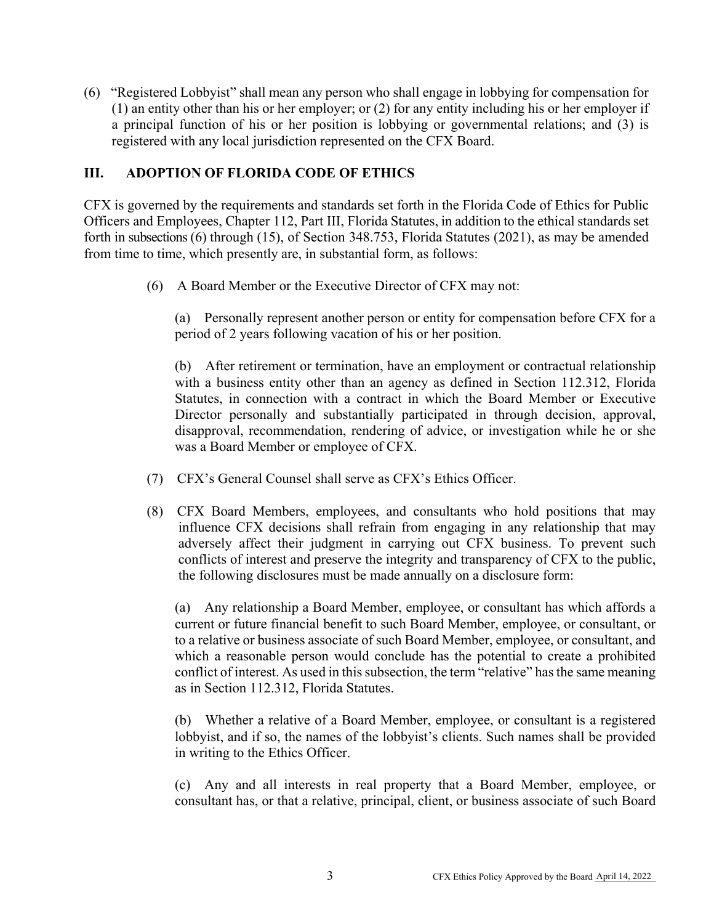(6) "Registered Lobbyist" shall mean any person who shall engage in lobbying for compensation for (1) an entity other than his or her employer; or (2) for any entity including his or her employer if a principal function of his or her position is lobbying or governmental relations; and (3) is registered with any local jurisdiction represented on the CFX Board.

## <span id="page-2-0"></span>**III. ADOPTION OF FLORIDA CODE OF ETHICS**

CFX is governed by the requirements and standards set forth in the Florida Code of Ethics for Public Officers and Employees, Chapter 112, Part III, Florida Statutes, in addition to the ethical standards set forth in subsections (6) through (15), of Section 348.753, Florida Statutes (2021), as may be amended from time to time, which presently are, in substantial form, as follows:

(6) A Board Member or the Executive Director of CFX may not:

(a) Personally represent another person or entity for compensation before CFX for a period of 2 years following vacation of his or her position.

(b) After retirement or termination, have an employment or contractual relationship with a business entity other than an agency as defined in Section 112.312, Florida Statutes, in connection with a contract in which the Board Member or Executive Director personally and substantially participated in through decision, approval, disapproval, recommendation, rendering of advice, or investigation while he or she was a Board Member or employee of CFX.

- (7) CFX's General Counsel shall serve as CFX's Ethics Officer.
- (8) CFX Board Members, employees, and consultants who hold positions that may influence CFX decisions shall refrain from engaging in any relationship that may adversely affect their judgment in carrying out CFX business. To prevent such conflicts of interest and preserve the integrity and transparency of CFX to the public, the following disclosures must be made annually on a disclosure form:

(a) Any relationship a Board Member, employee, or consultant has which affords a current or future financial benefit to such Board Member, employee, or consultant, or to a relative or business associate of such Board Member, employee, or consultant, and which a reasonable person would conclude has the potential to create a prohibited conflict of interest. As used in this subsection, the term "relative" has the same meaning as in Section 112.312, Florida Statutes.

(b) Whether a relative of a Board Member, employee, or consultant is a registered lobbyist, and if so, the names of the lobbyist's clients. Such names shall be provided in writing to the Ethics Officer.

(c) Any and all interests in real property that a Board Member, employee, or consultant has, or that a relative, principal, client, or business associate of such Board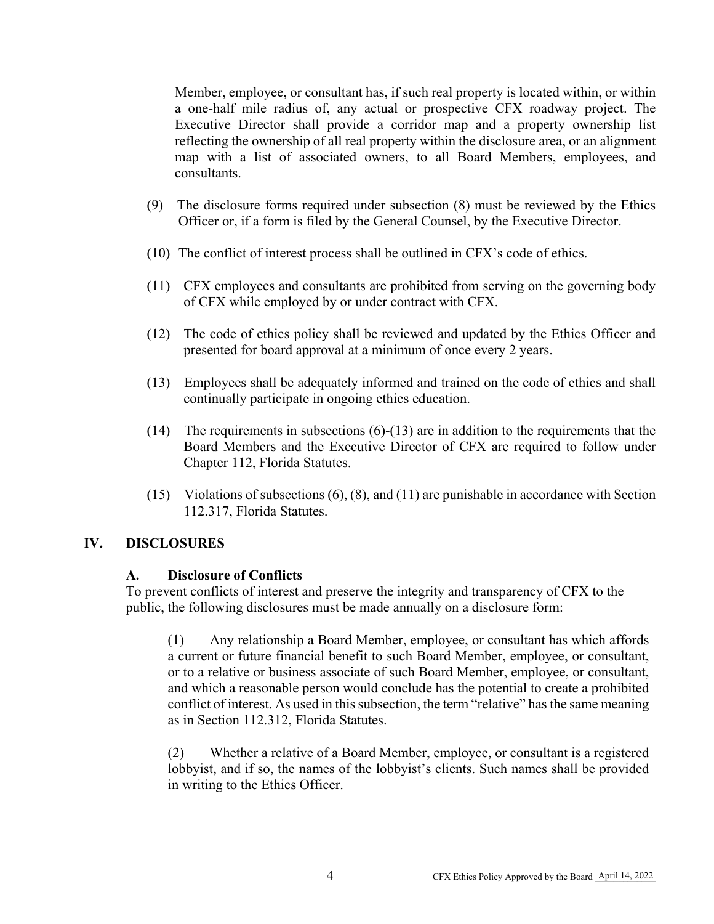Member, employee, or consultant has, if such real property is located within, or within a one-half mile radius of, any actual or prospective CFX roadway project. The Executive Director shall provide a corridor map and a property ownership list reflecting the ownership of all real property within the disclosure area, or an alignment map with a list of associated owners, to all Board Members, employees, and consultants.

- (9) The disclosure forms required under subsection (8) must be reviewed by the Ethics Officer or, if a form is filed by the General Counsel, by the Executive Director.
- (10) The conflict of interest process shall be outlined in CFX's code of ethics.
- (11) CFX employees and consultants are prohibited from serving on the governing body of CFX while employed by or under contract with CFX.
- (12) The code of ethics policy shall be reviewed and updated by the Ethics Officer and presented for board approval at a minimum of once every 2 years.
- (13) Employees shall be adequately informed and trained on the code of ethics and shall continually participate in ongoing ethics education.
- (14) The requirements in subsections  $(6)-(13)$  are in addition to the requirements that the Board Members and the Executive Director of CFX are required to follow under Chapter 112, Florida Statutes.
- (15) Violations of subsections (6), (8), and (11) are punishable in accordance with Section 112.317, Florida Statutes.

### <span id="page-3-0"></span>**IV. DISCLOSURES**

#### **A. Disclosure of Conflicts**

To prevent conflicts of interest and preserve the integrity and transparency of CFX to the public, the following disclosures must be made annually on a disclosure form:

(1) Any relationship a Board Member, employee, or consultant has which affords a current or future financial benefit to such Board Member, employee, or consultant, or to a relative or business associate of such Board Member, employee, or consultant, and which a reasonable person would conclude has the potential to create a prohibited conflict of interest. As used in this subsection, the term "relative" has the same meaning as in Section 112.312, Florida Statutes.

(2) Whether a relative of a Board Member, employee, or consultant is a registered lobbyist, and if so, the names of the lobbyist's clients. Such names shall be provided in writing to the Ethics Officer.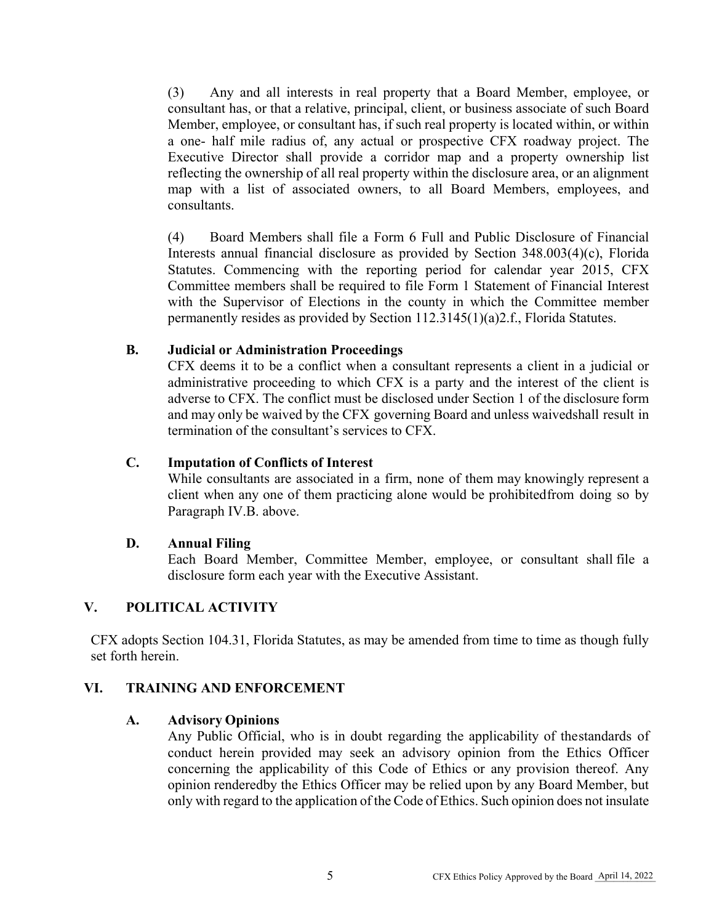(3) Any and all interests in real property that a Board Member, employee, or consultant has, or that a relative, principal, client, or business associate of such Board Member, employee, or consultant has, if such real property is located within, or within a one- half mile radius of, any actual or prospective CFX roadway project. The Executive Director shall provide a corridor map and a property ownership list reflecting the ownership of all real property within the disclosure area, or an alignment map with a list of associated owners, to all Board Members, employees, and consultants.

(4) Board Members shall file a Form 6 Full and Public Disclosure of Financial Interests annual financial disclosure as provided by Section 348.003(4)(c), Florida Statutes. Commencing with the reporting period for calendar year 2015, CFX Committee members shall be required to file Form 1 Statement of Financial Interest with the Supervisor of Elections in the county in which the Committee member permanently resides as provided by Section 112.3145(1)(a)2.f., Florida Statutes.

### **B. Judicial or Administration Proceedings**

CFX deems it to be a conflict when a consultant represents a client in a judicial or administrative proceeding to which CFX is a party and the interest of the client is adverse to CFX. The conflict must be disclosed under Section 1 of the disclosure form and may only be waived by the CFX governing Board and unless waivedshall result in termination of the consultant's services to CFX.

### **C. Imputation of Conflicts of Interest**

While consultants are associated in a firm, none of them may knowingly represent a client when any one of them practicing alone would be prohibited from doing so by Paragraph IV.B. above.

### **D. Annual Filing**

Each Board Member, Committee Member, employee, or consultant shall file a disclosure form each year with the Executive Assistant.

### <span id="page-4-0"></span>**V. POLITICAL ACTIVITY**

CFX adopts Section 104.31, Florida Statutes, as may be amended from time to time as though fully set forth herein.

#### <span id="page-4-1"></span>**VI. TRAINING AND ENFORCEMENT**

#### **A. Advisory Opinions**

Any Public Official, who is in doubt regarding the applicability of the standards of conduct herein provided may seek an advisory opinion from the Ethics Officer concerning the applicability of this Code of Ethics or any provision thereof. Any opinion renderedby the Ethics Officer may be relied upon by any Board Member, but only with regard to the application of the Code of Ethics. Such opinion does not insulate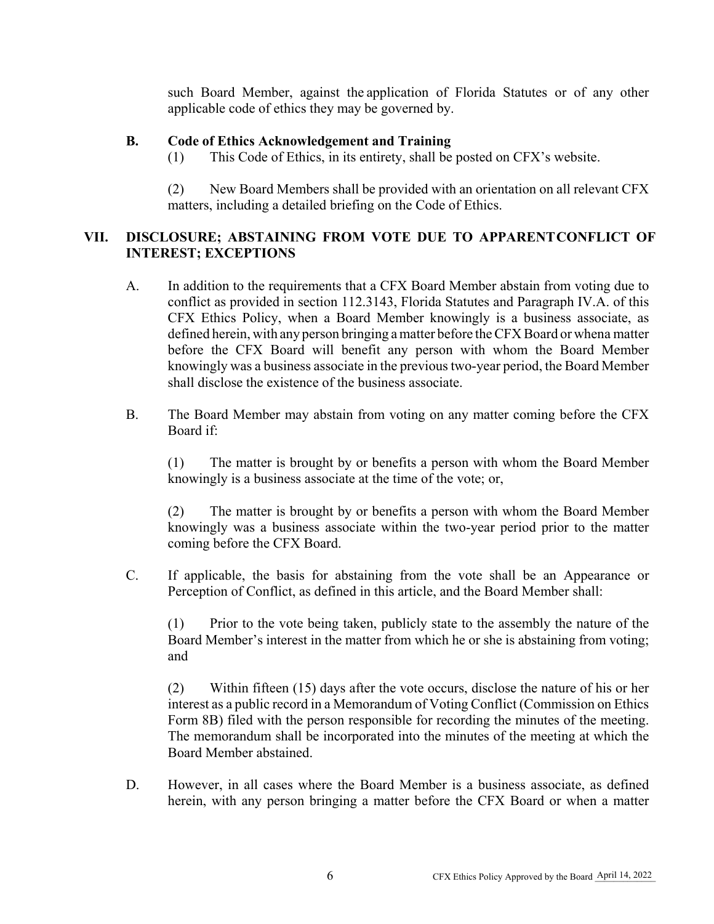such Board Member, against the application of Florida Statutes or of any other applicable code of ethics they may be governed by.

### **B. Code of Ethics Acknowledgement and Training**

(1) This Code of Ethics, in its entirety, shall be posted on CFX's website.

(2) New Board Members shall be provided with an orientation on all relevant CFX matters, including a detailed briefing on the Code of Ethics.

# <span id="page-5-0"></span>**VII. DISCLOSURE; ABSTAINING FROM VOTE DUE TO APPARENTCONFLICT OF INTEREST; EXCEPTIONS**

- A. In addition to the requirements that a CFX Board Member abstain from voting due to conflict as provided in section 112.3143, Florida Statutes and Paragraph IV.A. of this CFX Ethics Policy, when a Board Member knowingly is a business associate, as defined herein, with any person bringing a matter before the CFX Board or whena matter before the CFX Board will benefit any person with whom the Board Member knowingly was a business associate in the previous two-year period, the Board Member shall disclose the existence of the business associate.
- B. The Board Member may abstain from voting on any matter coming before the CFX Board if:

(1) The matter is brought by or benefits a person with whom the Board Member knowingly is a business associate at the time of the vote; or,

(2) The matter is brought by or benefits a person with whom the Board Member knowingly was a business associate within the two-year period prior to the matter coming before the CFX Board.

C. If applicable, the basis for abstaining from the vote shall be an Appearance or Perception of Conflict, as defined in this article, and the Board Member shall:

(1) Prior to the vote being taken, publicly state to the assembly the nature of the Board Member's interest in the matter from which he or she is abstaining from voting; and

(2) Within fifteen (15) days after the vote occurs, disclose the nature of his or her interest as a public record in a Memorandum of Voting Conflict (Commission on Ethics Form 8B) filed with the person responsible for recording the minutes of the meeting. The memorandum shall be incorporated into the minutes of the meeting at which the Board Member abstained.

D. However, in all cases where the Board Member is a business associate, as defined herein, with any person bringing a matter before the CFX Board or when a matter